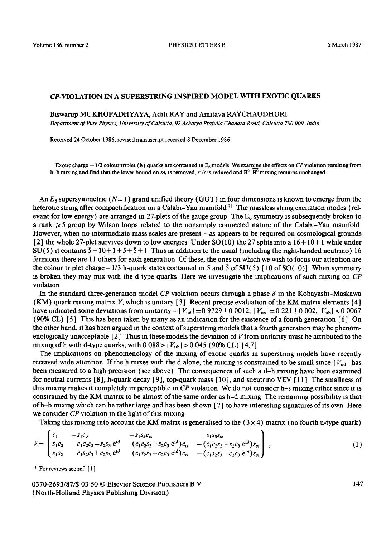## CP-VIOLATION IN A SUPERSTRING INSPIRED MODEL WITH EXOTIC QUARKS

Biswarup MUKHOPADHYAYA, Aditi RAY and Amitava RAYCHAUDHURI

*Department of Pure Phystcs, Umverstty of Calcutta, 92 Acharya Prafulla Chandra Road, Calcutta 700 009, India* 

Received 24 October 1986, revised manuscript received 8 December 1986

Exotic charge  $-1/3$  colour triplet (h) quarks are contained in  $E_6$  models We examine the effects on *CP* violation resulting from h-b mixing and find that the lower bound on  $m_1$  is removed,  $\epsilon'/\epsilon$  is reduced and  $B^0-B^0$  mixing remains unchanged

An  $E_6$  supersymmetric  $(N=1)$  grand unified theory (GUT) in four dimensions is known to emerge from the heterotic string after compactification on a Calabi-Yau manifold<sup>11</sup> The massless string excitation modes (relevant for low energy) are arranged in 27-plets of the gauge group The  $E_6$  symmetry is subsequently broken to a rank  $\geq 5$  group by Wilson loops related to the nonsimply connected nature of the Calabi-Yau manifold However, when no intermediate mass scales are present – as appears to be required on cosmological grounds [2] the whole 27-plet survives down to low energies Under SO(10) the 27 sphts into a  $16 + 10 + 1$  while under  $SU(5)$  it contains  $\overline{5} + 10 + 1 + 5 + \overline{5} + 1$  Thus in addition to the usual (including the right-handed neutrino) 16 fermlons there are 11 others for each generation Of these, the ones on which we wash to focus our attention are the colour triplet charge - 1/3 h-quark states contained in 5 and  $\overline{5}$  of SU(5) [10 of SO(10)] When symmetry is broken they may mix with the d-type quarks Here we investigate the implications of such mixing on *CP* violation

In the standard three-generation model *CP* violation occurs through a phase  $\delta$  in the Kobayashi-Maskawa (KM) quark mixing matrix V, which is unitary [3] Recent precise evaluation of the KM matrix elements [4] have indicated some deviations from unitarity  $- |V_{ud}| = 0.9729 \pm 0.0012$ ,  $|V_{us}| = 0.221 \pm 0.002$ ,  $|V_{ub}| < 0.0067$ (90% CL) [5] This has been taken by many as an indication for the existence of a fourth generation [6] On the other hand, it has been argued in the context of superstring models that a fourth generation may be phenomenologically unacceptable  $[2]$  Thus in these models the deviation of V from unitarity must be attributed to the mixing of h with d-type quarks, with  $0.088 > |V_{\text{uh}}| > 0.045$  (90% CL) [4,7]

The implications on phenomenology of the mixing of exotic quarks in superstring models have recently received wide attention If the h mixes with the d alone, the mixing is constrained to be small since  $|V_{ud}|$  has been measured to a high precision (see above) The consequences of such a d-h mixing have been examined for neutral currents  $[8]$ , h-quark decay  $[9]$ , top-quark mass  $[10]$ , and sneutrino VEV  $[11]$  The smallness of this mixing makes it completely imperceptible in *CP* violation We do not consider h-s mixing either since it is constrained by the KM matrix to be almost of the same order as h-d mixing The remaining possibility is that ofh-b mixing which can be rather large and has been shown [ 7 ] to have interesting signatures of its own Here we consider *CP* violation m the light of this mixing

Taking this mixing into account the KM matrix is generalised to the  $(3\times4)$  matrix (no fourth u-type quark)

$$
V = \begin{bmatrix} c_1 & -s_1c_3 & -s_1s_3c_{\alpha} & s_1s_3s_{\alpha} \\ s_1c_2 & c_1c_2c_3 - s_2s_3 e^{i\delta} & (c_1c_2s_3 + s_2c_3 e^{i\delta})c_{\alpha} & -(c_1c_2s_3 + s_2c_3 e^{i\delta})s_{\alpha} \\ s_1s_2 & c_1s_2c_3 + c_2s_3 e^{i\delta} & (c_1s_2s_3 - c_2c_3 e^{i\delta})c_{\alpha} & -(c_1s_2s_3 - c_2c_3 e^{i\delta})s_{\alpha} \end{bmatrix},
$$
\n(1)

<sup>11</sup> For reviews see ref [1]

0370-2693/87/\$ 03 50 © Elsevier Science Pubhshers B V (North-Holland Physics Publishing Division)

147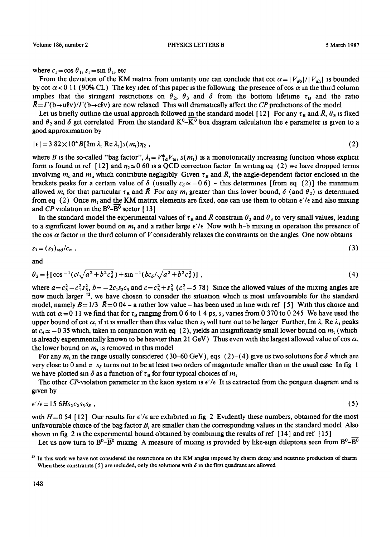where  $c_1 = \cos \theta_1$ ,  $s_1 = \sin \theta_1$ , etc

From the deviation of the KM matrix from unitarity one can conclude that cot  $\alpha = |V_{ub}|/|V_{ub}|$  is bounded by cot  $\alpha$  < 0 11 (90% CL) The key idea of this paper is the following the presence of cos  $\alpha$  in the third column implies that the stringent restrictions on  $\theta_2$ ,  $\theta_3$  and  $\delta$  from the bottom lifetime  $\tau_B$  and the ratio  $\bar{R} = \Gamma(b \rightarrow u\ell v)/\Gamma(b \rightarrow c\ell v)$  are now relaxed This will dramatically affect the *CP* predictions of the model

Let us briefly outline the usual approach followed in the standard model [12] For any  $\tau_B$  and  $\bar{R}$ ,  $\theta_3$  is fixed and  $\theta_2$  and  $\delta$  get correlated From the standard K<sup>0</sup>-K<sup>0</sup> box diagram calculation the  $\epsilon$  parameter is given to a good approximation by

$$
|\epsilon| = 3.82 \times 10^4 B [\text{Im } \lambda_1 \text{ Re } \lambda_1] s(m_1) \eta_2 , \qquad (2)
$$

where B is the so-called "bag factor",  $\lambda_t = V_{td}^* V_{ts}$ ,  $s(m_t)$  is a monotonically increasing function whose explicit form is found in ref [12] and  $\eta_2 \approx 0$  60 is a QCD correction factor In writing eq (2) we have dropped terms involving  $m_c$  and  $m_u$  which contribute negligibly Given  $\tau_B$  and  $\bar{R}$ , the angle-dependent factor enclosed in the brackets peaks for a certain value of  $\delta$  (usually  $c_{\delta} \simeq -0.6$ ) - this determines [from eq (2)] the minimum allowed  $m_t$  for that particular  $\tau_B$  and  $\bar{R}$  For any  $m_t$  greater than this lower bound,  $\delta$  (and  $\theta_2$ ) is determined from eq (2) Once  $m_t$  and the KM matrix elements are fixed, one can use them to obtain  $\epsilon'/\epsilon$  and also mixing and *CP* violation in the  $B^0$ - $\overline{B^0}$  sector [13]

In the standard model the experimental values of  $\tau_B$  and  $\bar{R}$  constrain  $\theta_2$  and  $\theta_3$  to very small values, leading to a significant lower bound on  $m_t$  and a rather large  $\epsilon'/\epsilon$  Now with h-b mixing in operation the presence of the cos  $\alpha$  factor in the third column of V considerably relaxes the constraints on the angles One now obtains

$$
s_3 = (s_3)_{\text{std}}/c_{\alpha} \tag{3}
$$

and

$$
\theta_2 = \frac{1}{2} \left[ \cos^{-1} (c/\sqrt{a^2 + b^2 c_\delta^2}) + \sin^{-1} (bc_\delta/\sqrt{a^2 + b^2 c_\delta^2}) \right],
$$
 (4)

where  $a = c_3^2 - c_1^2 s_3^2$ ,  $b = -2c_1 s_3 c_3$  and  $c = c_3^2 + s_3^2$  ( $c_1^2 - 5$  78) Since the allowed values of the mixing angles are now much larger  $^{12}$ , we have chosen to consider the situation which is most unfavourable for the standard model, namely  $B = 1/3$   $\bar{R} = 0.04$  – a rather low value – has been used in line with ref [5] With this choice and with cot  $\alpha=0$  11 we find that for  $\tau_B$  ranging from 0 6 to 1 4 ps,  $s_3$  varies from 0 370 to 0 245 We have used the upper bound of cot  $\alpha$ , if it is smaller than this value then  $s_3$  will turn out to be larger Further, Im  $\lambda_1$  Re  $\lambda_1$  peaks at  $c_{\delta} \approx -0.35$  which, taken in conjunction with eq (2), yields an insignificantly small lower bound on  $m_t$  (which is already experimentally known to be heavier than 21 GeV) Thus even with the largest allowed value of cos  $\alpha$ , the lower bound on  $m_t$  is removed in this model

For any  $m_t$  in the range usually considered (30–60 GeV), eqs (2)–(4) give us two solutions for  $\delta$  which are very close to 0 and  $\pi$  s<sub>o</sub> turns out to be at least two orders of magnitude smaller than in the usual case In fig 1 we have plotted sin  $\delta$  as a function of  $\tau_B$  for four typical choices of  $m_t$ 

The other CP-violation parameter in the kaon system is  $\epsilon'/\epsilon$  It is extracted from the penguin diagram and is given by

$$
\epsilon'/\epsilon = 15 \, 6Hs_2c_2s_3s_\delta \;, \tag{5}
$$

with  $H= 0.54$  [12] Our results for  $\epsilon'/\epsilon$  are exhibited in fig 2 Evidently these numbers, obtained for the most unfavourable choice of the bag factor  $B$ , are smaller than the corresponding values in the standard model Also shown in fig 2 is the experimental bound obtained by combining the results of ref [14] and ref [15]

Let us now turn to  $B^0-B^0$  mixing A measure of mixing is provided by like-sign dileptons seen from  $B^0-B^0$ 

 $^{12}$  In this work we have not considered the restrictions on the KM angles imposed by charm decay and neutrino production of charm When these constraints [5] are included, only the solutions with  $\delta$  in the first quadrant are allowed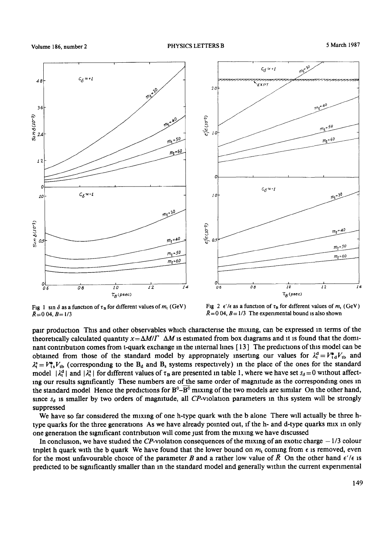



Fig 1 sm  $\delta$  as a function of  $\tau_B$  for different values of  $m_t$  (GeV)  $\bar{R}$ =0 04,  $B$ = 1/3

Fig 2  $\epsilon'/\epsilon$  as a function of  $\tau_B$  for different values of  $m_t$  (GeV)  $\bar{R}$  = 0 04, B = 1/3 The experimental bound is also shown

paar production Thxs and other observables which charactense the mixing, can be expressed m terms of the theoretically calculated quantity  $x = \Delta M/\Gamma$   $\Delta M$  is estimated from box diagrams and it is found that the dominant contribution comes from t-quark exchange m the internal hnes [ 13 ] The predictions of this model can be obtained from those of the standard model by appropriately inserting our values for  $\lambda_t^d = V_{td}^* V_{tb}$  and  $\lambda_1^s = V_{1s}^* V_{1b}$  (corresponding to the B<sub>d</sub> and B<sub>s</sub> systems respectively) in the place of the ones for the standard model  $|\lambda_1^d|$  and  $|\lambda_1^s|$  for different values of  $\tau_B$  are presented in table 1, where we have set  $s_\delta = 0$  without affectmg our results slgmficantly These numbers are of the same order of magmtude as the corresponding ones m the standard model Hence the predictions for  $B^0$ - $\overline{B^0}$  mixing of the two models are similar On the other hand, since  $s_{\delta}$  is smaller by two orders of magnitude, all CP-violation parameters in this system will be strongly suppressed

We have so far considered the mixing of one h-type quark with the b alone There will actually be three htype quarks for the three generations As we have already pointed out, if the h- and d-type quarks mix in only one generation the significant contribution will come just from the mixing we have discussed

In conclusion, we have studied the CP-violation consequences of the mixing of an exotic charge  $-1/3$  colour triplet h quark with the b quark We have found that the lower bound on  $m_t$  coming from  $\epsilon$  is removed, even for the most unfavourable choice of the parameter B and a rather low value of  $\bar{R}$  On the other hand  $\epsilon'/\epsilon$  is predicted to be significantly smaller than in the standard model and generally within the current experimental